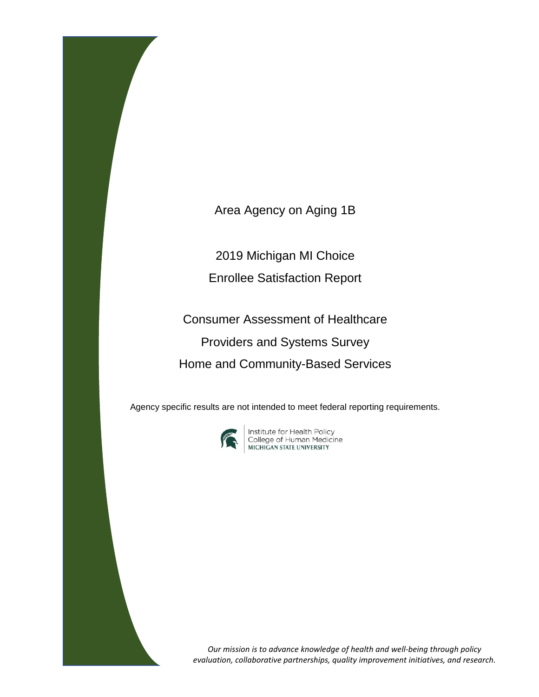Area Agency on Aging 1B

2019 Michigan MI Choice

Enrollee Satisfaction Report

Consumer Assessment of Healthcare Providers and Systems Survey Home and Community-Based Services

Agency specific results are not intended to meet federal reporting requirements.



**Institute for Health Policy<br>College of Human Medicine<br>MICHIGAN STATE UNIVERSITY** 

*Our mission is to advance knowledge of health and well-being through policy evaluation, collaborative partnerships, quality improvement initiatives, and research.*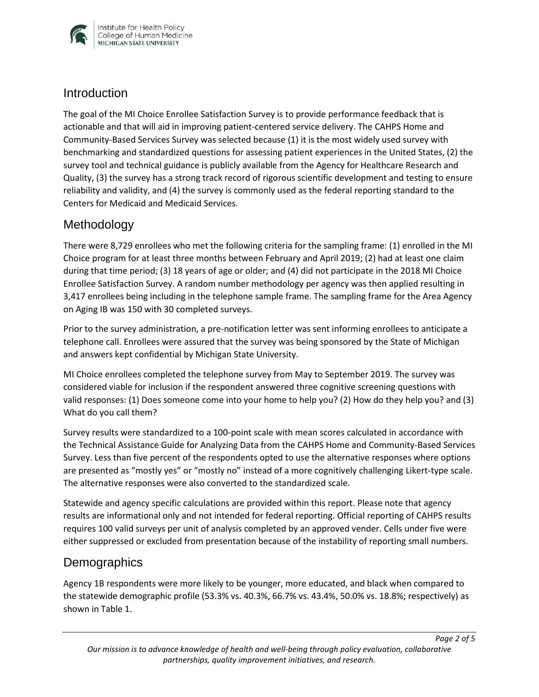

#### **Introduction**

The goal of the MI Choice Enrollee Satisfaction Survey is to provide performance feedback that is actionable and that will aid in improving patient-centered service delivery. The CAHPS Home and Community-Based Services Survey was selected because (1) it is the most widely used survey with benchmarking and standardized questions for assessing patient experiences in the United States, (2) the survey tool and technical guidance is publicly available from the Agency for Healthcare Research and Quality, (3) the survey has a strong track record of rigorous scientific development and testing to ensure reliability and validity, and (4) the survey is commonly used as the federal reporting standard to the Centers for Medicaid and Medicaid Services.

# Methodology

There were 8,729 enrollees who met the following criteria for the sampling frame: (1) enrolled in the MI Choice program for at least three months between February and April 2019; (2) had at least one claim during that time period; (3) 18 years of age or older; and (4) did not participate in the 2018 MI Choice Enrollee Satisfaction Survey. A random number methodology per agency was then applied resulting in 3,417 enrollees being including in the telephone sample frame. The sampling frame for the Area Agency on Aging IB was 150 with 30 completed surveys.

Prior to the survey administration, a pre-notification letter was sent informing enrollees to anticipate a telephone call. Enrollees were assured that the survey was being sponsored by the State of Michigan and answers kept confidential by Michigan State University.

MI Choice enrollees completed the telephone survey from May to September 2019. The survey was considered viable for inclusion if the respondent answered three cognitive screening questions with valid responses: (1) Does someone come into your home to help you? (2) How do they help you? and (3) What do you call them?

Survey results were standardized to a 100-point scale with mean scores calculated in accordance with the Technical Assistance Guide for Analyzing Data from the CAHPS Home and Community-Based Services Survey. Less than five percent of the respondents opted to use the alternative responses where options are presented as "mostly yes" or "mostly no" instead of a more cognitively challenging Likert-type scale. The alternative responses were also converted to the standardized scale.

Statewide and agency specific calculations are provided within this report. Please note that agency results are informational only and not intended for federal reporting. Official reporting of CAHPS results requires 100 valid surveys per unit of analysis completed by an approved vender. Cells under five were either suppressed or excluded from presentation because of the instability of reporting small numbers.

# **Demographics**

Agency 1B respondents were more likely to be younger, more educated, and black when compared to the statewide demographic profile (53.3% vs. 40.3%, 66.7% vs. 43.4%, 50.0% vs. 18.8%; respectively) as shown in Table 1.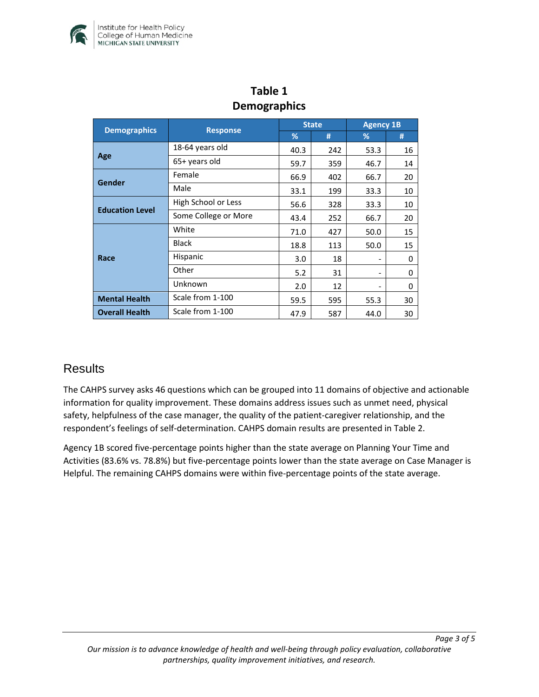

| pennysiapines          |                      |              |     |                  |    |  |  |  |  |
|------------------------|----------------------|--------------|-----|------------------|----|--|--|--|--|
|                        | <b>Response</b>      | <b>State</b> |     | <b>Agency 1B</b> |    |  |  |  |  |
| <b>Demographics</b>    |                      | %            | #   | %                | #  |  |  |  |  |
| Age                    | 18-64 years old      | 40.3         | 242 | 53.3             | 16 |  |  |  |  |
|                        | 65+ years old        | 59.7         | 359 | 46.7             | 14 |  |  |  |  |
| Gender                 | Female               | 66.9         | 402 | 66.7             | 20 |  |  |  |  |
|                        | Male                 | 33.1         | 199 | 33.3             | 10 |  |  |  |  |
| <b>Education Level</b> | High School or Less  | 56.6         | 328 | 33.3             | 10 |  |  |  |  |
|                        | Some College or More | 43.4         | 252 | 66.7             | 20 |  |  |  |  |
| Race                   | White                | 71.0         | 427 | 50.0             | 15 |  |  |  |  |
|                        | <b>Black</b>         | 18.8         | 113 | 50.0             | 15 |  |  |  |  |
|                        | Hispanic             | 3.0          | 18  |                  | 0  |  |  |  |  |
|                        | Other                | 5.2          | 31  |                  | 0  |  |  |  |  |
|                        | Unknown              | 2.0          | 12  |                  | 0  |  |  |  |  |
| <b>Mental Health</b>   | Scale from 1-100     | 59.5         | 595 | 55.3             | 30 |  |  |  |  |
| <b>Overall Health</b>  | Scale from 1-100     | 47.9         | 587 | 44.0             | 30 |  |  |  |  |

# **Table 1 Demographics**

# **Results**

The CAHPS survey asks 46 questions which can be grouped into 11 domains of objective and actionable information for quality improvement. These domains address issues such as unmet need, physical safety, helpfulness of the case manager, the quality of the patient-caregiver relationship, and the respondent's feelings of self-determination. CAHPS domain results are presented in Table 2.

Agency 1B scored five-percentage points higher than the state average on Planning Your Time and Activities (83.6% vs. 78.8%) but five-percentage points lower than the state average on Case Manager is Helpful. The remaining CAHPS domains were within five-percentage points of the state average.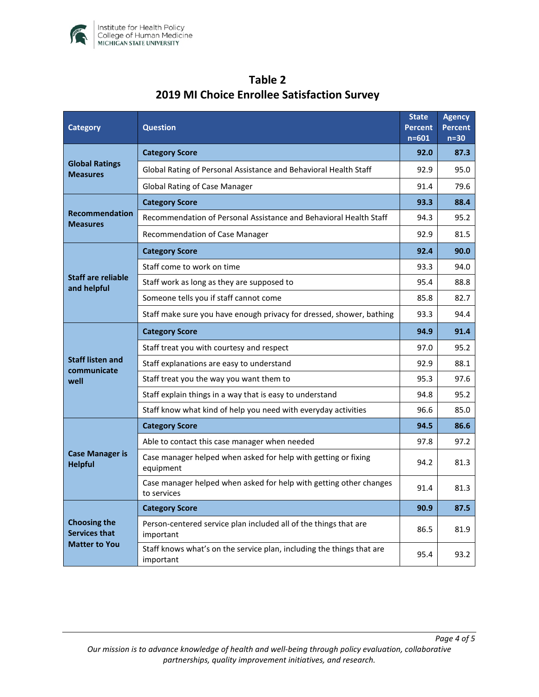

| <b>Category</b>                                                     | <b>Question</b>                                                                    |      | <b>Agency</b><br><b>Percent</b><br>$n=30$ |
|---------------------------------------------------------------------|------------------------------------------------------------------------------------|------|-------------------------------------------|
| <b>Global Ratings</b><br><b>Measures</b>                            | <b>Category Score</b>                                                              |      | 87.3                                      |
|                                                                     | Global Rating of Personal Assistance and Behavioral Health Staff                   |      | 95.0                                      |
|                                                                     | <b>Global Rating of Case Manager</b>                                               | 91.4 | 79.6                                      |
| <b>Recommendation</b><br><b>Measures</b>                            | <b>Category Score</b>                                                              | 93.3 | 88.4                                      |
|                                                                     | Recommendation of Personal Assistance and Behavioral Health Staff                  | 94.3 | 95.2                                      |
|                                                                     | Recommendation of Case Manager                                                     | 92.9 | 81.5                                      |
| <b>Staff are reliable</b><br>and helpful                            | <b>Category Score</b>                                                              | 92.4 | 90.0                                      |
|                                                                     | Staff come to work on time                                                         | 93.3 | 94.0                                      |
|                                                                     | Staff work as long as they are supposed to                                         | 95.4 | 88.8                                      |
|                                                                     | Someone tells you if staff cannot come                                             | 85.8 | 82.7                                      |
|                                                                     | Staff make sure you have enough privacy for dressed, shower, bathing               | 93.3 | 94.4                                      |
| <b>Staff listen and</b><br>communicate<br>well                      | <b>Category Score</b>                                                              | 94.9 | 91.4                                      |
|                                                                     | Staff treat you with courtesy and respect                                          | 97.0 | 95.2                                      |
|                                                                     | Staff explanations are easy to understand                                          | 92.9 | 88.1                                      |
|                                                                     | Staff treat you the way you want them to                                           | 95.3 | 97.6                                      |
|                                                                     | Staff explain things in a way that is easy to understand                           | 94.8 | 95.2                                      |
|                                                                     | Staff know what kind of help you need with everyday activities                     | 96.6 | 85.0                                      |
| <b>Case Manager is</b><br><b>Helpful</b>                            | <b>Category Score</b>                                                              | 94.5 | 86.6                                      |
|                                                                     | Able to contact this case manager when needed                                      | 97.8 | 97.2                                      |
|                                                                     | Case manager helped when asked for help with getting or fixing<br>equipment        |      | 81.3                                      |
|                                                                     | Case manager helped when asked for help with getting other changes<br>to services  | 91.4 | 81.3                                      |
| <b>Choosing the</b><br><b>Services that</b><br><b>Matter to You</b> | <b>Category Score</b>                                                              | 90.9 | 87.5                                      |
|                                                                     | Person-centered service plan included all of the things that are<br>important      | 86.5 | 81.9                                      |
|                                                                     | Staff knows what's on the service plan, including the things that are<br>important | 95.4 | 93.2                                      |

# **Table 2 2019 MI Choice Enrollee Satisfaction Survey**